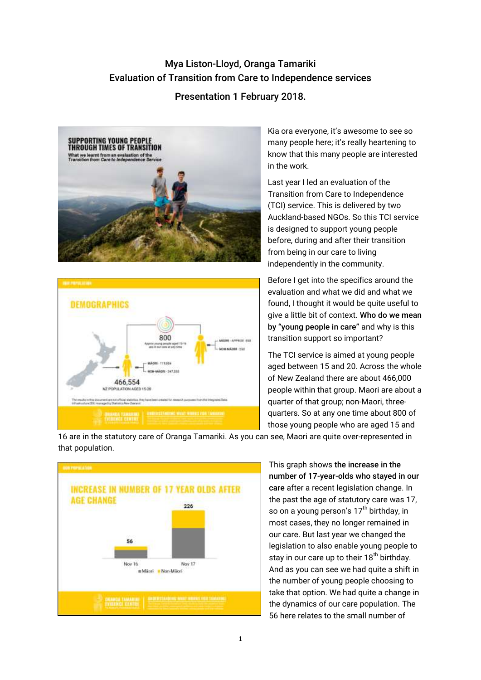## Mya Liston-Lloyd, Oranga Tamariki Evaluation of Transition from Care to Independence services

## Presentation 1 February 2018.





Kia ora everyone, it's awesome to see so many people here; it's really heartening to know that this many people are interested in the work.

Last year I led an evaluation of the Transition from Care to Independence (TCI) service. This is delivered by two Auckland-based NGOs. So this TCI service is designed to support young people before, during and after their transition from being in our care to living independently in the community.

Before I get into the specifics around the evaluation and what we did and what we found, I thought it would be quite useful to give a little bit of context. Who do we mean by "young people in care" and why is this transition support so important?

The TCI service is aimed at young people aged between 15 and 20. Across the whole of New Zealand there are about 466,000 people within that group. Maori are about a quarter of that group; non-Maori, threequarters. So at any one time about 800 of those young people who are aged 15 and



16 are in the statutory care of Oranga Tamariki. As you can see, Maori are quite over-represented in that population.

> This graph shows the increase in the number of 17-year-olds who stayed in our care after a recent legislation change. In the past the age of statutory care was 17, so on a young person's  $17<sup>th</sup>$  birthday, in most cases, they no longer remained in our care. But last year we changed the legislation to also enable young people to stay in our care up to their  $18<sup>th</sup>$  birthday. And as you can see we had quite a shift in the number of young people choosing to take that option. We had quite a change in the dynamics of our care population. The 56 here relates to the small number of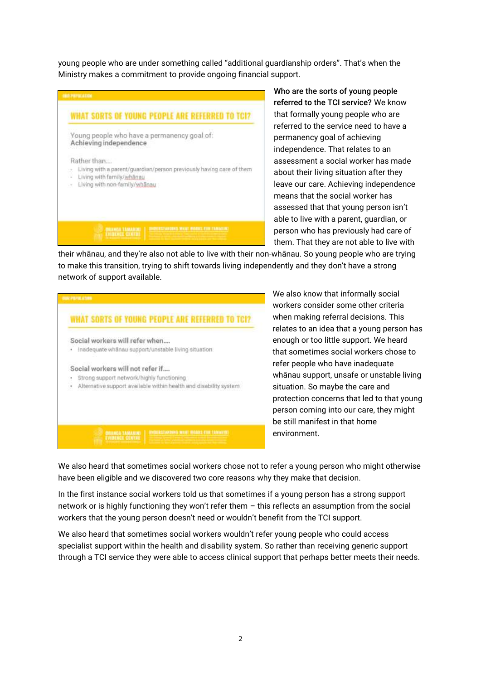young people who are under something called "additional guardianship orders". That's when the Ministry makes a commitment to provide ongoing financial support.



Who are the sorts of young people referred to the TCI service? We know that formally young people who are referred to the service need to have a permanency goal of achieving independence. That relates to an assessment a social worker has made about their living situation after they leave our care. Achieving independence means that the social worker has assessed that that young person isn't able to live with a parent, guardian, or person who has previously had care of them. That they are not able to live with

their whānau, and they're also not able to live with their non-whānau. So young people who are trying to make this transition, trying to shift towards living independently and they don't have a strong network of support available.



We also know that informally social workers consider some other criteria when making referral decisions. This relates to an idea that a young person has enough or too little support. We heard that sometimes social workers chose to refer people who have inadequate whānau support, unsafe or unstable living situation. So maybe the care and protection concerns that led to that young person coming into our care, they might be still manifest in that home environment.

We also heard that sometimes social workers chose not to refer a young person who might otherwise have been eligible and we discovered two core reasons why they make that decision.

In the first instance social workers told us that sometimes if a young person has a strong support network or is highly functioning they won't refer them – this reflects an assumption from the social workers that the young person doesn't need or wouldn't benefit from the TCI support.

We also heard that sometimes social workers wouldn't refer young people who could access specialist support within the health and disability system. So rather than receiving generic support through a TCI service they were able to access clinical support that perhaps better meets their needs.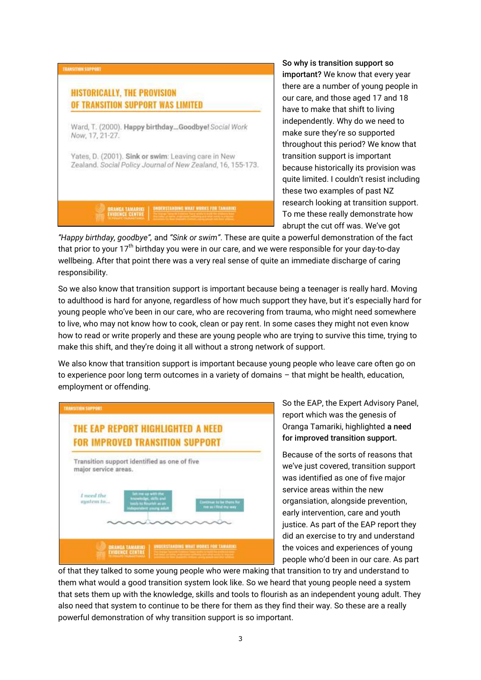

So why is transition support so important? We know that every year there are a number of young people in our care, and those aged 17 and 18 have to make that shift to living independently. Why do we need to make sure they're so supported throughout this period? We know that transition support is important because historically its provision was quite limited. I couldn't resist including these two examples of past NZ research looking at transition support. To me these really demonstrate how abrupt the cut off was. We've got

*"Happy birthday, goodbye",* and *"Sink or swim"*. These are quite a powerful demonstration of the fact that prior to your  $17<sup>th</sup>$  birthday you were in our care, and we were responsible for your day-to-day wellbeing. After that point there was a very real sense of quite an immediate discharge of caring responsibility.

So we also know that transition support is important because being a teenager is really hard. Moving to adulthood is hard for anyone, regardless of how much support they have, but it's especially hard for young people who've been in our care, who are recovering from trauma, who might need somewhere to live, who may not know how to cook, clean or pay rent. In some cases they might not even know how to read or write properly and these are young people who are trying to survive this time, trying to make this shift, and they're doing it all without a strong network of support.

We also know that transition support is important because young people who leave care often go on to experience poor long term outcomes in a variety of domains – that might be health, education, employment or offending.



So the EAP, the Expert Advisory Panel, report which was the genesis of Oranga Tamariki, highlighted a need for improved transition support.

Because of the sorts of reasons that we've just covered, transition support was identified as one of five major service areas within the new organsiation, alongside prevention, early intervention, care and youth justice. As part of the EAP report they did an exercise to try and understand the voices and experiences of young people who'd been in our care. As part

of that they talked to some young people who were making that transition to try and understand to them what would a good transition system look like. So we heard that young people need a system that sets them up with the knowledge, skills and tools to flourish as an independent young adult. They also need that system to continue to be there for them as they find their way. So these are a really powerful demonstration of why transition support is so important.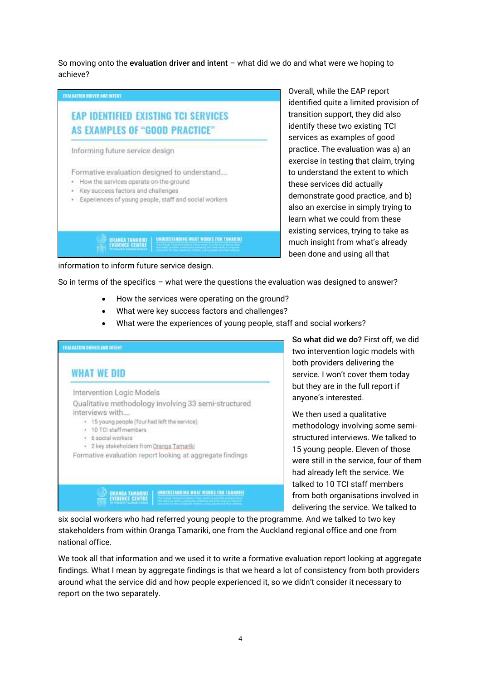So moving onto the evaluation driver and intent – what did we do and what were we hoping to achieve?



Overall, while the EAP report identified quite a limited provision of transition support, they did also identify these two existing TCI services as examples of good practice. The evaluation was a) an exercise in testing that claim, trying to understand the extent to which these services did actually demonstrate good practice, and b) also an exercise in simply trying to learn what we could from these existing services, trying to take as much insight from what's already been done and using all that

information to inform future service design.

So in terms of the specifics – what were the questions the evaluation was designed to answer?

- How the services were operating on the ground?
- What were key success factors and challenges?
- What were the experiences of young people, staff and social workers?



So what did we do? First off, we did two intervention logic models with both providers delivering the service. I won't cover them today but they are in the full report if anyone's interested.

We then used a qualitative methodology involving some semistructured interviews. We talked to 15 young people. Eleven of those were still in the service, four of them had already left the service. We talked to 10 TCI staff members from both organisations involved in delivering the service. We talked to

six social workers who had referred young people to the programme. And we talked to two key stakeholders from within Oranga Tamariki, one from the Auckland regional office and one from national office.

We took all that information and we used it to write a formative evaluation report looking at aggregate findings. What I mean by aggregate findings is that we heard a lot of consistency from both providers around what the service did and how people experienced it, so we didn't consider it necessary to report on the two separately.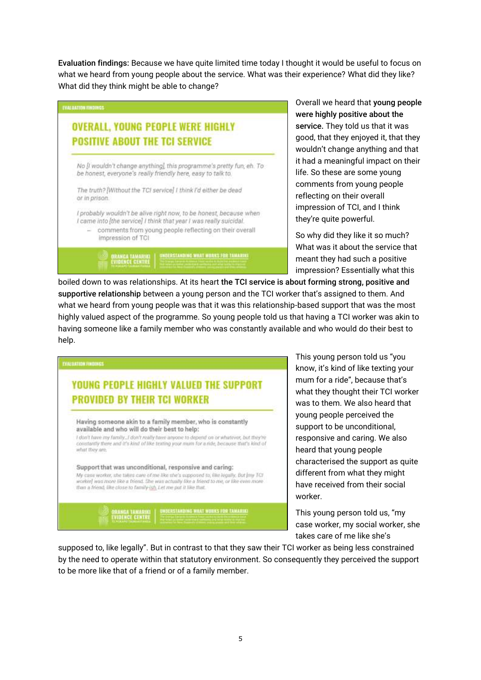Evaluation findings: Because we have quite limited time today I thought it would be useful to focus on what we heard from young people about the service. What was their experience? What did they like? What did they think might be able to change?



Overall we heard that young people were highly positive about the service. They told us that it was good, that they enjoyed it, that they wouldn't change anything and that it had a meaningful impact on their life. So these are some young comments from young people reflecting on their overall impression of TCI, and I think they're quite powerful.

So why did they like it so much? What was it about the service that meant they had such a positive impression? Essentially what this

boiled down to was relationships. At its heart the TCI service is about forming strong, positive and supportive relationship between a young person and the TCI worker that's assigned to them. And what we heard from young people was that it was this relationship-based support that was the most highly valued aspect of the programme. So young people told us that having a TCI worker was akin to having someone like a family member who was constantly available and who would do their best to help.



This young person told us "you know, it's kind of like texting your mum for a ride", because that's what they thought their TCI worker was to them. We also heard that young people perceived the support to be unconditional, responsive and caring. We also heard that young people characterised the support as quite different from what they might have received from their social worker.

This young person told us, "my case worker, my social worker, she takes care of me like she's

supposed to, like legally". But in contrast to that they saw their TCI worker as being less constrained by the need to operate within that statutory environment. So consequently they perceived the support to be more like that of a friend or of a family member.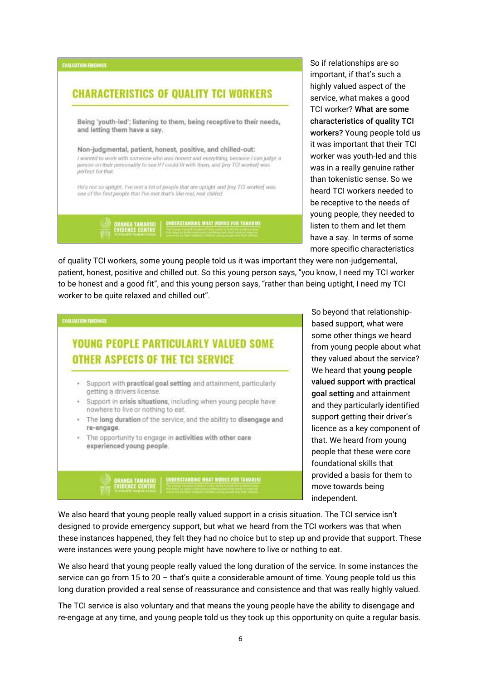

So if relationships are so important, if that's such a highly valued aspect of the service, what makes a good TCI worker? What are some characteristics of quality TCI workers? Young people told us it was important that their TCI worker was youth-led and this was in a really genuine rather than tokenistic sense. So we heard TCI workers needed to be receptive to the needs of young people, they needed to listen to them and let them have a say. In terms of some more specific characteristics

of quality TCI workers, some young people told us it was important they were non-judgemental, patient, honest, positive and chilled out. So this young person says, "you know, I need my TCI worker to be honest and a good fit", and this young person says, "rather than being uptight, I need my TCI worker to be quite relaxed and chilled out".



So beyond that relationshipbased support, what were some other things we heard from young people about what they valued about the service? We heard that young people valued support with practical goal setting and attainment and they particularly identified support getting their driver's licence as a key component of that. We heard from young people that these were core foundational skills that provided a basis for them to move towards being independent.

We also heard that young people really valued support in a crisis situation. The TCI service isn't designed to provide emergency support, but what we heard from the TCI workers was that when these instances happened, they felt they had no choice but to step up and provide that support. These were instances were young people might have nowhere to live or nothing to eat.

We also heard that young people really valued the long duration of the service. In some instances the service can go from 15 to 20 – that's quite a considerable amount of time. Young people told us this long duration provided a real sense of reassurance and consistence and that was really highly valued.

The TCI service is also voluntary and that means the young people have the ability to disengage and re-engage at any time, and young people told us they took up this opportunity on quite a regular basis.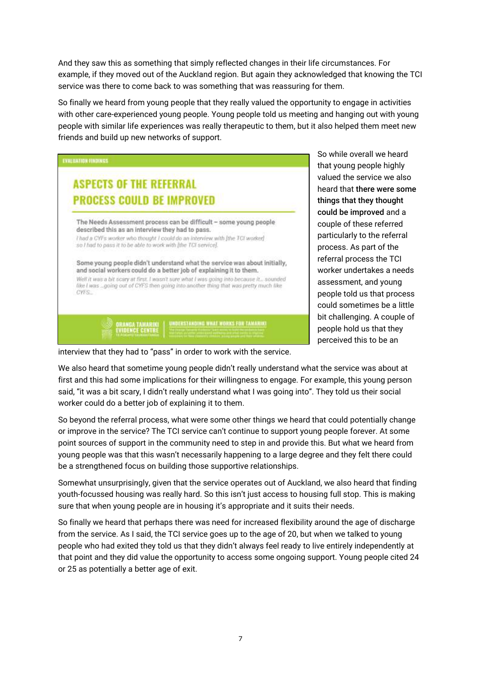And they saw this as something that simply reflected changes in their life circumstances. For example, if they moved out of the Auckland region. But again they acknowledged that knowing the TCI service was there to come back to was something that was reassuring for them.

So finally we heard from young people that they really valued the opportunity to engage in activities with other care-experienced young people. Young people told us meeting and hanging out with young people with similar life experiences was really therapeutic to them, but it also helped them meet new friends and build up new networks of support.



So while overall we heard that young people highly valued the service we also heard that there were some things that they thought could be improved and a couple of these referred particularly to the referral process. As part of the referral process the TCI worker undertakes a needs assessment, and young people told us that process could sometimes be a little bit challenging. A couple of people hold us that they perceived this to be an

interview that they had to "pass" in order to work with the service.

We also heard that sometime young people didn't really understand what the service was about at first and this had some implications for their willingness to engage. For example, this young person said, "it was a bit scary, I didn't really understand what I was going into". They told us their social worker could do a better job of explaining it to them.

So beyond the referral process, what were some other things we heard that could potentially change or improve in the service? The TCI service can't continue to support young people forever. At some point sources of support in the community need to step in and provide this. But what we heard from young people was that this wasn't necessarily happening to a large degree and they felt there could be a strengthened focus on building those supportive relationships.

Somewhat unsurprisingly, given that the service operates out of Auckland, we also heard that finding youth-focussed housing was really hard. So this isn't just access to housing full stop. This is making sure that when young people are in housing it's appropriate and it suits their needs.

So finally we heard that perhaps there was need for increased flexibility around the age of discharge from the service. As I said, the TCI service goes up to the age of 20, but when we talked to young people who had exited they told us that they didn't always feel ready to live entirely independently at that point and they did value the opportunity to access some ongoing support. Young people cited 24 or 25 as potentially a better age of exit.